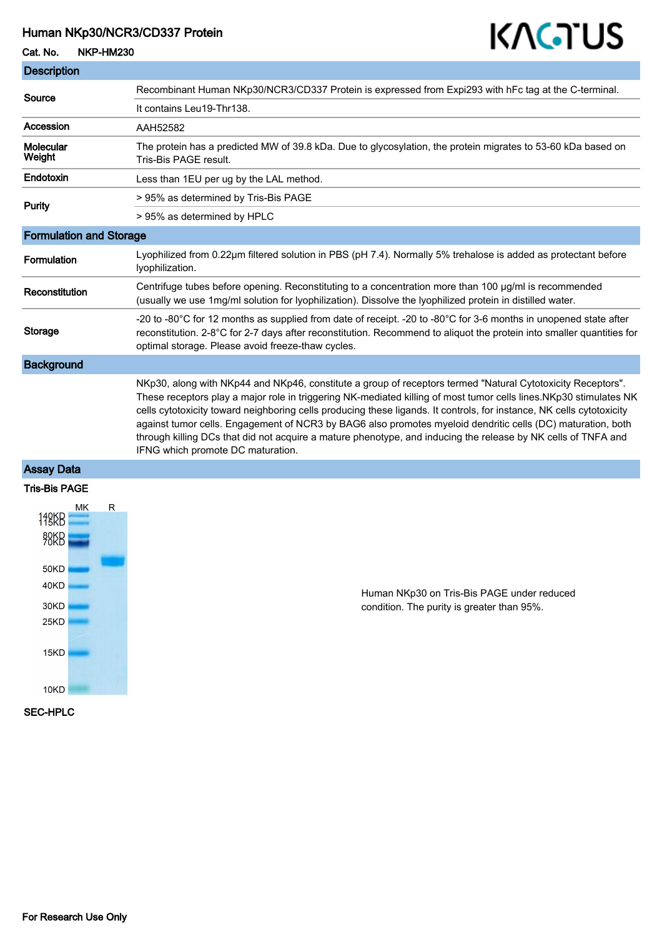#### Human NKp30/NCR3/CD337 Protein

#### Cat. No. NKP-HM230

T.

# KAGTUS

| <b>Description</b>             |                                                                                                                                                                                                                                                                                                                                                                                                                                                                                                                                                                                                                                |
|--------------------------------|--------------------------------------------------------------------------------------------------------------------------------------------------------------------------------------------------------------------------------------------------------------------------------------------------------------------------------------------------------------------------------------------------------------------------------------------------------------------------------------------------------------------------------------------------------------------------------------------------------------------------------|
| Source                         | Recombinant Human NKp30/NCR3/CD337 Protein is expressed from Expi293 with hFc tag at the C-terminal.                                                                                                                                                                                                                                                                                                                                                                                                                                                                                                                           |
|                                | It contains Leu19-Thr138.                                                                                                                                                                                                                                                                                                                                                                                                                                                                                                                                                                                                      |
| Accession                      | AAH52582                                                                                                                                                                                                                                                                                                                                                                                                                                                                                                                                                                                                                       |
| Molecular<br>Weight            | The protein has a predicted MW of 39.8 kDa. Due to glycosylation, the protein migrates to 53-60 kDa based on<br>Tris-Bis PAGE result.                                                                                                                                                                                                                                                                                                                                                                                                                                                                                          |
| Endotoxin                      | Less than 1EU per ug by the LAL method.                                                                                                                                                                                                                                                                                                                                                                                                                                                                                                                                                                                        |
| <b>Purity</b>                  | > 95% as determined by Tris-Bis PAGE                                                                                                                                                                                                                                                                                                                                                                                                                                                                                                                                                                                           |
|                                | > 95% as determined by HPLC                                                                                                                                                                                                                                                                                                                                                                                                                                                                                                                                                                                                    |
| <b>Formulation and Storage</b> |                                                                                                                                                                                                                                                                                                                                                                                                                                                                                                                                                                                                                                |
| <b>Formulation</b>             | Lyophilized from 0.22µm filtered solution in PBS (pH 7.4). Normally 5% trehalose is added as protectant before<br>Iyophilization.                                                                                                                                                                                                                                                                                                                                                                                                                                                                                              |
| Reconstitution                 | Centrifuge tubes before opening. Reconstituting to a concentration more than 100 µg/ml is recommended<br>(usually we use 1mg/ml solution for lyophilization). Dissolve the lyophilized protein in distilled water.                                                                                                                                                                                                                                                                                                                                                                                                             |
| <b>Storage</b>                 | -20 to -80°C for 12 months as supplied from date of receipt. -20 to -80°C for 3-6 months in unopened state after<br>reconstitution. 2-8°C for 2-7 days after reconstitution. Recommend to aliquot the protein into smaller quantities for<br>optimal storage. Please avoid freeze-thaw cycles.                                                                                                                                                                                                                                                                                                                                 |
| <b>Background</b>              |                                                                                                                                                                                                                                                                                                                                                                                                                                                                                                                                                                                                                                |
|                                | NKp30, along with NKp44 and NKp46, constitute a group of receptors termed "Natural Cytotoxicity Receptors".<br>These receptors play a major role in triggering NK-mediated killing of most tumor cells lines.NKp30 stimulates NK<br>cells cytotoxicity toward neighboring cells producing these ligands. It controls, for instance, NK cells cytotoxicity<br>against tumor cells. Engagement of NCR3 by BAG6 also promotes myeloid dendritic cells (DC) maturation, both<br>through killing DCs that did not acquire a mature phenotype, and inducing the release by NK cells of TNFA and<br>IFNG which promote DC maturation. |

### Assay Data



Human NKp30 on Tris-Bis PAGE under reduced condition. The purity is greater than 95%.